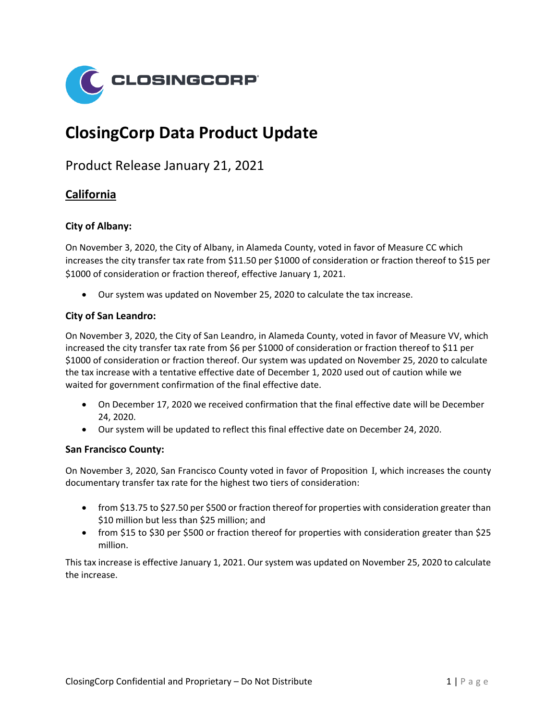

# **ClosingCorp Data Product Update**

Product Release January 21, 2021

# **California**

#### **City of Albany:**

On November 3, 2020, the City of Albany, in Alameda County, voted in favor of Measure CC which increases the city transfer tax rate from \$11.50 per \$1000 of consideration or fraction thereof to \$15 per \$1000 of consideration or fraction thereof, effective January 1, 2021.

• Our system was updated on November 25, 2020 to calculate the tax increase.

#### **City of San Leandro:**

On November 3, 2020, the City of San Leandro, in Alameda County, voted in favor of Measure VV, which increased the city transfer tax rate from \$6 per \$1000 of consideration or fraction thereof to \$11 per \$1000 of consideration or fraction thereof. Our system was updated on November 25, 2020 to calculate the tax increase with a tentative effective date of December 1, 2020 used out of caution while we waited for government confirmation of the final effective date.

- On December 17, 2020 we received confirmation that the final effective date will be December 24, 2020.
- Our system will be updated to reflect this final effective date on December 24, 2020.

#### **San Francisco County:**

On November 3, 2020, San Francisco County voted in favor of Proposition I, which increases the county documentary transfer tax rate for the highest two tiers of consideration:

- from \$13.75 to \$27.50 per \$500 or fraction thereof for properties with consideration greater than \$10 million but less than \$25 million; and
- from \$15 to \$30 per \$500 or fraction thereof for properties with consideration greater than \$25 million.

This tax increase is effective January 1, 2021. Our system was updated on November 25, 2020 to calculate the increase.